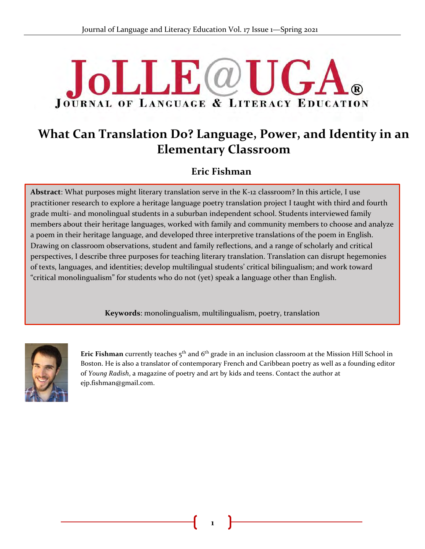# **JoLLE** @U **JOURNAL OF LANGUAGE & LITERACY EDUCATION**

# **What Can Translation Do? Language, Power, and Identity in an Elementary Classroom**

# **Eric Fishman**

**Abstract**: What purposes might literary translation serve in the K-12 classroom? In this article, I use & practitioner research to explore a heritage language poetry translation project I taught with third and fourth grade multi- and monolingual students in a suburban independent school. Students interviewed family members about their heritage languages, worked with family and community members to choose and analyze a poem in their heritage language, and developed three interpretive translations of the poem in English. Drawing on classroom observations, student and family reflections, and a range of scholarly and critical perspectives, I describe three purposes for teaching literary translation. Translation can disrupt hegemonies of texts, languages, and identities; develop multilingual students' critical bilingualism; and work toward "critical monolingualism" for students who do not (yet) speak a language other than English.

**Keywords**: monolingualism, multilingualism, poetry, translation



**Eric Fishman** currently teaches 5<sup>th</sup> and 6<sup>th</sup> grade in an inclusion classroom at the Mission Hill School in Boston. He is also a translator of contemporary French and Caribbean poetry as well as a founding editor of *Young Radish*, a magazine of poetry and art by kids and teens. Contact the author at ejp.fishman@gmail.com.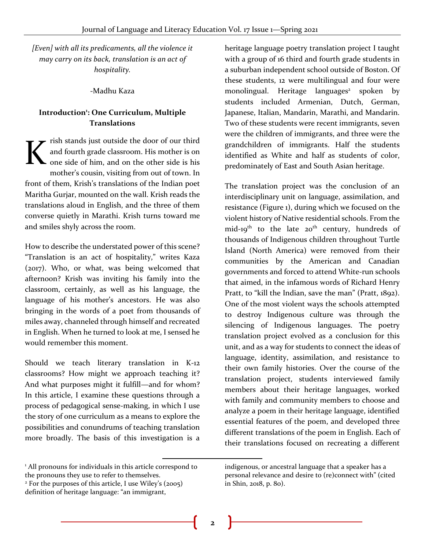*[Even] with all its predicaments, all the violence it may carry on its back, translation is an act of hospitality.*

#### -Madhu Kaza

# **Introduction<sup>1</sup> : One Curriculum, Multiple Translations**

rish stands just outside the door of our third and fourth grade classroom. His mother is on one side of him, and on the other side is his mother's cousin, visiting from out of town. In front of them, Krish's translations of the Indian poet Maritha Gurjar, mounted on the wall. Krish reads the translations aloud in English, and the three of them converse quietly in Marathi. Krish turns toward me and smiles shyly across the room. K

How to describe the understated power of this scene? "Translation is an act of hospitality," writes Kaza (2017). Who, or what, was being welcomed that afternoon? Krish was inviting his family into the classroom, certainly, as well as his language, the language of his mother's ancestors. He was also bringing in the words of a poet from thousands of miles away, channeled through himself and recreated in English. When he turned to look at me, I sensed he would remember this moment.

Should we teach literary translation in K-12 classrooms? How might we approach teaching it? And what purposes might it fulfill—and for whom? In this article, I examine these questions through a process of pedagogical sense-making, in which I use the story of one curriculum as a means to explore the possibilities and conundrums of teaching translation more broadly. The basis of this investigation is a

heritage language poetry translation project I taught with a group of 16 third and fourth grade students in a suburban independent school outside of Boston. Of these students, 12 were multilingual and four were monolingual. Heritage languages<sup>2</sup> spoken by students included Armenian, Dutch, German, Japanese, Italian, Mandarin, Marathi, and Mandarin. Two of these students were recent immigrants, seven were the children of immigrants, and three were the grandchildren of immigrants. Half the students identified as White and half as students of color, predominately of East and South Asian heritage.

The translation project was the conclusion of an interdisciplinary unit on language, assimilation, and resistance (Figure 1), during which we focused on the violent history of Native residential schools. From the mid-19<sup>th</sup> to the late  $20<sup>th</sup>$  century, hundreds of thousands of Indigenous children throughout Turtle Island (North America) were removed from their communities by the American and Canadian governments and forced to attend White-run schools that aimed, in the infamous words of Richard Henry Pratt, to "kill the Indian, save the man" (Pratt, 1892). One of the most violent ways the schools attempted to destroy Indigenous culture was through the silencing of Indigenous languages. The poetry translation project evolved as a conclusion for this unit, and as a way for students to connect the ideas of language, identity, assimilation, and resistance to their own family histories. Over the course of the translation project, students interviewed family members about their heritage languages, worked with family and community members to choose and analyze a poem in their heritage language, identified essential features of the poem, and developed three different translations of the poem in English. Each of their translations focused on recreating a different

<sup>&</sup>lt;sup>1</sup> All pronouns for individuals in this article correspond to the pronouns they use to refer to themselves.

<sup>2</sup> For the purposes of this article, I use Wiley's (2005) definition of heritage language: "an immigrant,

indigenous, or ancestral language that a speaker has a personal relevance and desire to (re)connect with" (cited in Shin, 2018, p. 80).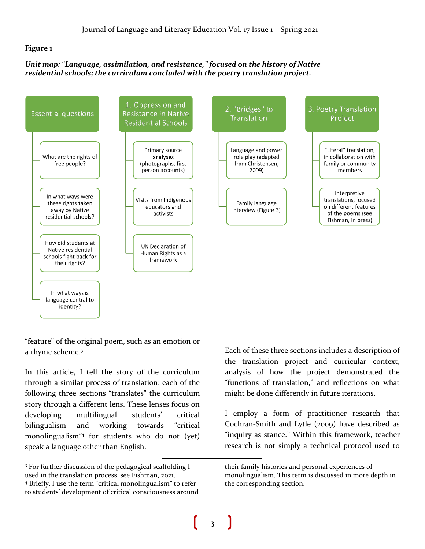#### **Figure 1**

#### *Unit map: "Language, assimilation, and resistance," focused on the history of Native residential schools; the curriculum concluded with the poetry translation project.*



"feature" of the original poem, such as an emotion or a rhyme scheme.<sup>3</sup>

In this article, I tell the story of the curriculum through a similar process of translation: each of the following three sections "translates" the curriculum story through a different lens. These lenses focus on developing multilingual students' critical bilingualism and working towards "critical monolingualism"<sup>4</sup> for students who do not (yet) speak a language other than English.

Each of these three sections includes a description of the translation project and curricular context, analysis of how the project demonstrated the "functions of translation," and reflections on what might be done differently in future iterations.

I employ a form of practitioner research that Cochran-Smith and Lytle (2009) have described as "inquiry as stance." Within this framework, teacher research is not simply a technical protocol used to

<sup>3</sup> For further discussion of the pedagogical scaffolding I used in the translation process, see Fishman, 2021. <sup>4</sup> Briefly, I use the term "critical monolingualism" to refer to students' development of critical consciousness around

their family histories and personal experiences of monolingualism. This term is discussed in more depth in the corresponding section.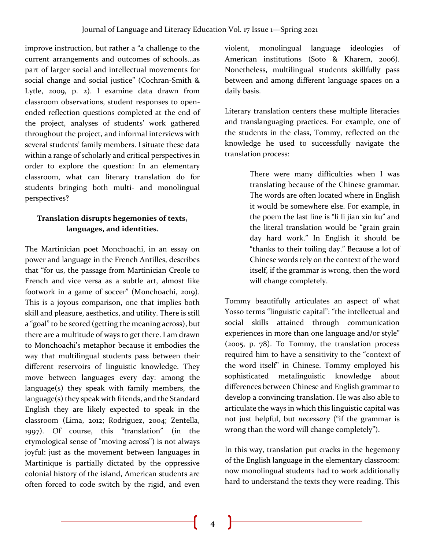improve instruction, but rather a "a challenge to the current arrangements and outcomes of schools…as part of larger social and intellectual movements for social change and social justice" (Cochran-Smith & Lytle, 2009, p. 2). I examine data drawn from classroom observations, student responses to openended reflection questions completed at the end of the project, analyses of students' work gathered throughout the project, and informal interviews with several students' family members. I situate these data within a range of scholarly and critical perspectives in order to explore the question: In an elementary classroom, what can literary translation do for students bringing both multi- and monolingual perspectives?

# **Translation disrupts hegemonies of texts, languages, and identities.**

The Martinician poet Monchoachi, in an essay on power and language in the French Antilles, describes that "for us, the passage from Martinician Creole to French and vice versa as a subtle art, almost like footwork in a game of soccer" (Monchoachi, 2019). This is a joyous comparison, one that implies both skill and pleasure, aesthetics, and utility. There is still a "goal" to be scored (getting the meaning across), but there are a multitude of ways to get there. I am drawn to Monchoachi's metaphor because it embodies the way that multilingual students pass between their different reservoirs of linguistic knowledge. They move between languages every day: among the language(s) they speak with family members, the language(s) they speak with friends, and the Standard English they are likely expected to speak in the classroom (Lima, 2012; Rodriguez, 2004; Zentella, 1997). Of course, this "translation" (in the etymological sense of "moving across") is not always joyful: just as the movement between languages in Martinique is partially dictated by the oppressive colonial history of the island, American students are often forced to code switch by the rigid, and even

violent, monolingual language ideologies of American institutions (Soto & Kharem, 2006). Nonetheless, multilingual students skillfully pass between and among different language spaces on a daily basis.

Literary translation centers these multiple literacies and translanguaging practices. For example, one of the students in the class, Tommy, reflected on the knowledge he used to successfully navigate the translation process:

> There were many difficulties when I was translating because of the Chinese grammar. The words are often located where in English it would be somewhere else. For example, in the poem the last line is "li li jian xin ku" and the literal translation would be "grain grain day hard work." In English it should be "thanks to their toiling day." Because a lot of Chinese words rely on the context of the word itself, if the grammar is wrong, then the word will change completely.

Tommy beautifully articulates an aspect of what Yosso terms "linguistic capital": "the intellectual and social skills attained through communication experiences in more than one language and/or style" (2005, p. 78). To Tommy, the translation process required him to have a sensitivity to the "context of the word itself" in Chinese. Tommy employed his sophisticated metalinguistic knowledge about differences between Chinese and English grammar to develop a convincing translation. He was also able to articulate the ways in which this linguistic capital was not just helpful, but *necessary* ("if the grammar is wrong than the word will change completely").

In this way, translation put cracks in the hegemony of the English language in the elementary classroom: now monolingual students had to work additionally hard to understand the texts they were reading. This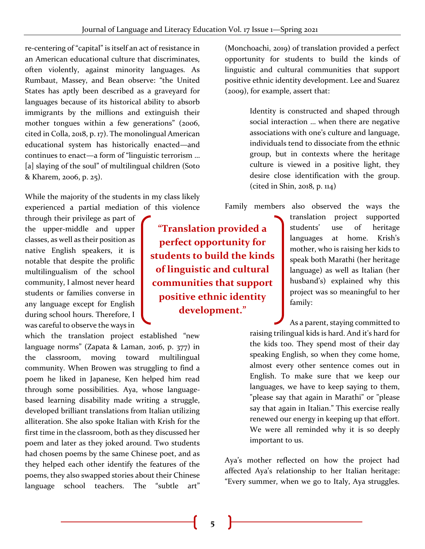re-centering of "capital" is itself an act of resistance in an American educational culture that discriminates, often violently, against minority languages. As Rumbaut, Massey, and Bean observe: "the United States has aptly been described as a graveyard for languages because of its historical ability to absorb immigrants by the millions and extinguish their mother tongues within a few generations" (2006, cited in Colla, 2018, p. 17). The monolingual American educational system has historically enacted—and continues to enact—a form of "linguistic terrorism … [a] slaying of the soul" of multilingual children (Soto & Kharem, 2006, p. 25).

While the majority of the students in my class likely experienced a partial mediation of this violence

through their privilege as part of the upper-middle and upper classes, as well as their position as native English speakers, it is notable that despite the prolific multilingualism of the school community, I almost never heard students or families converse in any language except for English during school hours. Therefore, I was careful to observe the ways in

which the translation project established "new language norms" (Zapata & Laman, 2016, p. 377) in the classroom, moving toward multilingual community. When Browen was struggling to find a poem he liked in Japanese, Ken helped him read through some possibilities. Aya, whose languagebased learning disability made writing a struggle, developed brilliant translations from Italian utilizing alliteration. She also spoke Italian with Krish for the first time in the classroom, both as they discussed her poem and later as they joked around. Two students had chosen poems by the same Chinese poet, and as they helped each other identify the features of the poems, they also swapped stories about their Chinese language school teachers. The "subtle art"

(Monchoachi, 2019) of translation provided a perfect opportunity for students to build the kinds of linguistic and cultural communities that support positive ethnic identity development. Lee and Suarez (2009), for example, assert that:

> Identity is constructed and shaped through social interaction … when there are negative associations with one's culture and language, individuals tend to dissociate from the ethnic group, but in contexts where the heritage culture is viewed in a positive light, they desire close identification with the group. (cited in Shin, 2018, p. 114)

Family members also observed the ways the

**"Translation provided a perfect opportunity for students to build the kinds of linguistic and cultural communities that support positive ethnic identity development."**

translation project supported students' use of heritage languages at home. Krish's mother, who is raising her kids to speak both Marathi (her heritage language) as well as Italian (her husband's) explained why this project was so meaningful to her family:

As a parent, staying committed to raising trilingual kids is hard. And it's hard for the kids too. They spend most of their day speaking English, so when they come home, almost every other sentence comes out in English. To make sure that we keep our languages, we have to keep saying to them, "please say that again in Marathi" or "please say that again in Italian." This exercise really renewed our energy in keeping up that effort. We were all reminded why it is so deeply important to us.

Aya's mother reflected on how the project had affected Aya's relationship to her Italian heritage: "Every summer, when we go to Italy, Aya struggles.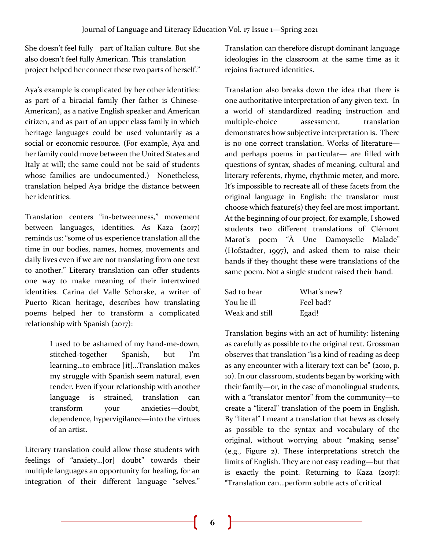She doesn't feel fully part of Italian culture. But she also doesn't feel fully American. This translation project helped her connect these two parts of herself."

Aya's example is complicated by her other identities: as part of a biracial family (her father is Chinese-American), as a native English speaker and American citizen, and as part of an upper class family in which heritage languages could be used voluntarily as a social or economic resource. (For example, Aya and her family could move between the United States and Italy at will; the same could not be said of students whose families are undocumented.) Nonetheless, translation helped Aya bridge the distance between her identities.

Translation centers "in-betweenness," movement between languages, identities. As Kaza (2017) reminds us: "some of us experience translation all the time in our bodies, names, homes, movements and daily lives even if we are not translating from one text to another." Literary translation can offer students one way to make meaning of their intertwined identities. Carina del Valle Schorske, a writer of Puerto Rican heritage, describes how translating poems helped her to transform a complicated relationship with Spanish (2017):

> I used to be ashamed of my hand-me-down, stitched-together Spanish, but I'm learning…to embrace [it]…Translation makes my struggle with Spanish seem natural, even tender. Even if your relationship with another language is strained, translation can transform your anxieties—doubt, dependence, hypervigilance—into the virtues of an artist.

Literary translation could allow those students with feelings of "anxiety…[or] doubt" towards their multiple languages an opportunity for healing, for an integration of their different language "selves."

Translation can therefore disrupt dominant language ideologies in the classroom at the same time as it rejoins fractured identities.

Translation also breaks down the idea that there is one authoritative interpretation of any given text. In a world of standardized reading instruction and multiple-choice assessment, translation demonstrates how subjective interpretation is. There is no one correct translation. Works of literature and perhaps poems in particular— are filled with questions of syntax, shades of meaning, cultural and literary referents, rhyme, rhythmic meter, and more. It's impossible to recreate all of these facets from the original language in English: the translator must choose which feature(s) they feel are most important. At the beginning of our project, for example, I showed students two different translations of Clémont Marot's poem "À Une Damoyselle Malade" (Hofstadter, 1997), and asked them to raise their hands if they thought these were translations of the same poem. Not a single student raised their hand.

| Sad to hear    | What's new? |  |
|----------------|-------------|--|
| You lie ill    | Feel bad?   |  |
| Weak and still | Egad!       |  |

Translation begins with an act of humility: listening as carefully as possible to the original text. Grossman observes that translation "is a kind of reading as deep as any encounter with a literary text can be" (2010, p. 10). In our classroom, students began by working with their family—or, in the case of monolingual students, with a "translator mentor" from the community—to create a "literal" translation of the poem in English. By "literal" I meant a translation that hews as closely as possible to the syntax and vocabulary of the original, without worrying about "making sense" (e.g., Figure 2). These interpretations stretch the limits of English. They are not easy reading—but that is exactly the point. Returning to Kaza  $(2017)$ : "Translation can…perform subtle acts of critical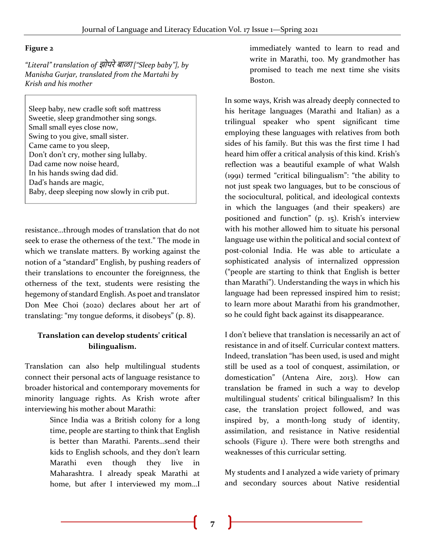#### **Figure 2**

*"Literal" translation of* झोपरेबाळा *["Sleep baby"], by Manisha Gurjar, translated from the Martahi by Krish and his mother*

Sleep baby, new cradle soft soft mattress Sweetie, sleep grandmother sing songs. Small small eyes close now, Swing to you give, small sister. Came came to you sleep, Don't don't cry, mother sing lullaby. Dad came now noise heard, In his hands swing dad did. Dad's hands are magic, Baby, deep sleeping now slowly in crib put.

resistance…through modes of translation that do not seek to erase the otherness of the text." The mode in which we translate matters. By working against the notion of a "standard" English, by pushing readers of their translations to encounter the foreignness, the otherness of the text, students were resisting the hegemony of standard English. As poet and translator Don Mee Choi (2020) declares about her art of translating: "my tongue deforms, it disobeys" (p. 8).

# **Translation can develop students' critical bilingualism.**

Translation can also help multilingual students connect their personal acts of language resistance to broader historical and contemporary movements for minority language rights. As Krish wrote after interviewing his mother about Marathi:

> Since India was a British colony for a long time, people are starting to think that English is better than Marathi. Parents…send their kids to English schools, and they don't learn Marathi even though they live in Maharashtra. I already speak Marathi at home, but after I interviewed my mom…I

immediately wanted to learn to read and write in Marathi, too. My grandmother has promised to teach me next time she visits Boston.

In some ways, Krish was already deeply connected to his heritage languages (Marathi and Italian) as a trilingual speaker who spent significant time employing these languages with relatives from both sides of his family. But this was the first time I had heard him offer a critical analysis of this kind. Krish's reflection was a beautiful example of what Walsh (1991) termed "critical bilingualism": "the ability to not just speak two languages, but to be conscious of the sociocultural, political, and ideological contexts in which the languages (and their speakers) are positioned and function" (p. 15). Krish's interview with his mother allowed him to situate his personal language use within the political and social context of post-colonial India. He was able to articulate a sophisticated analysis of internalized oppression ("people are starting to think that English is better than Marathi"). Understanding the ways in which his language had been repressed inspired him to resist; to learn more about Marathi from his grandmother, so he could fight back against its disappearance.

I don't believe that translation is necessarily an act of resistance in and of itself. Curricular context matters. Indeed, translation "has been used, is used and might still be used as a tool of conquest, assimilation, or domestication" (Antena Aire, 2013). How can translation be framed in such a way to develop multilingual students' critical bilingualism? In this case, the translation project followed, and was inspired by, a month-long study of identity, assimilation, and resistance in Native residential schools (Figure 1). There were both strengths and weaknesses of this curricular setting.

My students and I analyzed a wide variety of primary and secondary sources about Native residential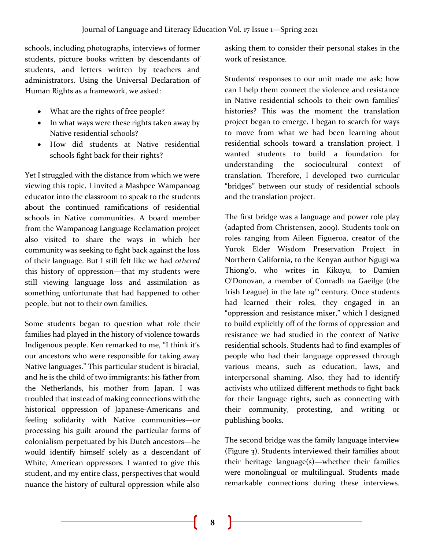schools, including photographs, interviews of former students, picture books written by descendants of students, and letters written by teachers and administrators. Using the Universal Declaration of Human Rights as a framework, we asked:

- What are the rights of free people?
- In what ways were these rights taken away by Native residential schools?
- How did students at Native residential schools fight back for their rights?

Yet I struggled with the distance from which we were viewing this topic. I invited a Mashpee Wampanoag educator into the classroom to speak to the students about the continued ramifications of residential schools in Native communities. A board member from the Wampanoag Language Reclamation project also visited to share the ways in which her community was seeking to fight back against the loss of their language. But I still felt like we had *othered* this history of oppression—that my students were still viewing language loss and assimilation as something unfortunate that had happened to other people, but not to their own families.

Some students began to question what role their families had played in the history of violence towards Indigenous people. Ken remarked to me, "I think it's our ancestors who were responsible for taking away Native languages." This particular student is biracial, and he is the child of two immigrants: his father from the Netherlands, his mother from Japan. I was troubled that instead of making connections with the historical oppression of Japanese-Americans and feeling solidarity with Native communities—or processing his guilt around the particular forms of colonialism perpetuated by his Dutch ancestors—he would identify himself solely as a descendant of White, American oppressors. I wanted to give this student, and my entire class, perspectives that would nuance the history of cultural oppression while also

asking them to consider their personal stakes in the work of resistance.

Students' responses to our unit made me ask: how can I help them connect the violence and resistance in Native residential schools to their own families' histories? This was the moment the translation project began to emerge. I began to search for ways to move from what we had been learning about residential schools toward a translation project. I wanted students to build a foundation for understanding the sociocultural context of translation. Therefore, I developed two curricular "bridges" between our study of residential schools and the translation project.

The first bridge was a language and power role play (adapted from Christensen, 2009). Students took on roles ranging from Aileen Figueroa, creator of the Yurok Elder Wisdom Preservation Project in Northern California, to the Kenyan author Ngugi wa Thiong'o, who writes in Kikuyu, to Damien O'Donovan, a member of Conradh na Gaeilge (the Irish League) in the late  $19<sup>th</sup>$  century. Once students had learned their roles, they engaged in an "oppression and resistance mixer," which I designed to build explicitly off of the forms of oppression and resistance we had studied in the context of Native residential schools. Students had to find examples of people who had their language oppressed through various means, such as education, laws, and interpersonal shaming. Also, they had to identify activists who utilized different methods to fight back for their language rights, such as connecting with their community, protesting, and writing or publishing books.

The second bridge was the family language interview (Figure 3). Students interviewed their families about their heritage language(s)—whether their families were monolingual or multilingual. Students made remarkable connections during these interviews.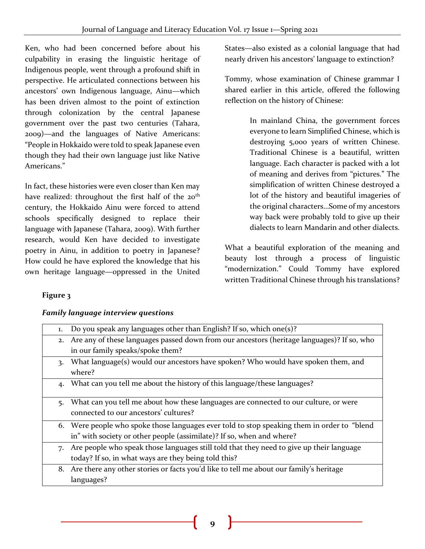Ken, who had been concerned before about his culpability in erasing the linguistic heritage of Indigenous people, went through a profound shift in perspective. He articulated connections between his ancestors' own Indigenous language, Ainu—which has been driven almost to the point of extinction through colonization by the central Japanese government over the past two centuries (Tahara, 2009)—and the languages of Native Americans: "People in Hokkaido were told to speak Japanese even though they had their own language just like Native Americans."

In fact, these histories were even closer than Ken may have realized: throughout the first half of the 20<sup>th</sup> century, the Hokkaido Ainu were forced to attend schools specifically designed to replace their language with Japanese (Tahara, 2009). With further research, would Ken have decided to investigate poetry in Ainu, in addition to poetry in Japanese? How could he have explored the knowledge that his own heritage language—oppressed in the United States—also existed as a colonial language that had nearly driven his ancestors' language to extinction?

Tommy, whose examination of Chinese grammar I shared earlier in this article, offered the following reflection on the history of Chinese:

> In mainland China, the government forces everyone to learn Simplified Chinese, which is destroying 5,000 years of written Chinese. Traditional Chinese is a beautiful, written language. Each character is packed with a lot of meaning and derives from "pictures." The simplification of written Chinese destroyed a lot of the history and beautiful imageries of the original characters…Some of my ancestors way back were probably told to give up their dialects to learn Mandarin and other dialects.

What a beautiful exploration of the meaning and beauty lost through a process of linguistic "modernization." Could Tommy have explored written Traditional Chinese through his translations?

# **Figure 3**

|  | <b>Family language interview questions</b> |  |
|--|--------------------------------------------|--|

| 1. | Do you speak any languages other than English? If so, which one(s)?                           |
|----|-----------------------------------------------------------------------------------------------|
|    | 2. Are any of these languages passed down from our ancestors (heritage languages)? If so, who |
|    | in our family speaks/spoke them?                                                              |
| 3. | What language(s) would our ancestors have spoken? Who would have spoken them, and             |
|    | where?                                                                                        |
| 4. | What can you tell me about the history of this language/these languages?                      |
|    |                                                                                               |
| 5. | What can you tell me about how these languages are connected to our culture, or were          |
|    | connected to our ancestors' cultures?                                                         |
|    | 6. Were people who spoke those languages ever told to stop speaking them in order to "blend"  |
|    | in" with society or other people (assimilate)? If so, when and where?                         |
|    | 7. Are people who speak those languages still told that they need to give up their language   |
|    | today? If so, in what ways are they being told this?                                          |
|    | 8. Are there any other stories or facts you'd like to tell me about our family's heritage     |
|    | languages?                                                                                    |
|    |                                                                                               |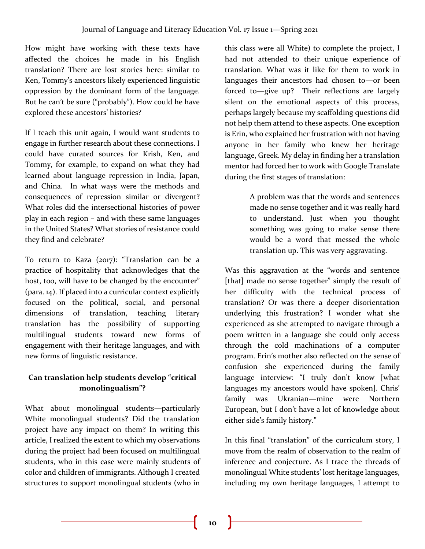How might have working with these texts have affected the choices he made in his English translation? There are lost stories here: similar to Ken, Tommy's ancestors likely experienced linguistic oppression by the dominant form of the language. But he can't be sure ("probably"). How could he have explored these ancestors' histories?

If I teach this unit again, I would want students to engage in further research about these connections. I could have curated sources for Krish, Ken, and Tommy, for example, to expand on what they had learned about language repression in India, Japan, and China. In what ways were the methods and consequences of repression similar or divergent? What roles did the intersectional histories of power play in each region – and with these same languages in the United States? What stories of resistance could they find and celebrate?

To return to Kaza (2017): "Translation can be a practice of hospitality that acknowledges that the host, too, will have to be changed by the encounter" (para. 14). If placed into a curricular context explicitly focused on the political, social, and personal dimensions of translation, teaching literary translation has the possibility of supporting multilingual students toward new forms of engagement with their heritage languages, and with new forms of linguistic resistance.

# **Can translation help students develop "critical monolingualism"?**

What about monolingual students—particularly White monolingual students? Did the translation project have any impact on them? In writing this article, I realized the extent to which my observations during the project had been focused on multilingual students, who in this case were mainly students of color and children of immigrants. Although I created structures to support monolingual students (who in

this class were all White) to complete the project, I had not attended to their unique experience of translation. What was it like for them to work in languages their ancestors had chosen to—or been forced to—give up? Their reflections are largely silent on the emotional aspects of this process, perhaps largely because my scaffolding questions did not help them attend to these aspects. One exception is Erin, who explained her frustration with not having anyone in her family who knew her heritage language, Greek. My delay in finding her a translation mentor had forced her to work with Google Translate during the first stages of translation:

> A problem was that the words and sentences made no sense together and it was really hard to understand. Just when you thought something was going to make sense there would be a word that messed the whole translation up. This was very aggravating.

Was this aggravation at the "words and sentence [that] made no sense together" simply the result of her difficulty with the technical process of translation? Or was there a deeper disorientation underlying this frustration? I wonder what she experienced as she attempted to navigate through a poem written in a language she could only access through the cold machinations of a computer program. Erin's mother also reflected on the sense of confusion she experienced during the family language interview: "I truly don't know [what languages my ancestors would have spoken]. Chris' family was Ukranian—mine were Northern European, but I don't have a lot of knowledge about either side's family history."

In this final "translation" of the curriculum story, I move from the realm of observation to the realm of inference and conjecture. As I trace the threads of monolingual White students' lost heritage languages, including my own heritage languages, I attempt to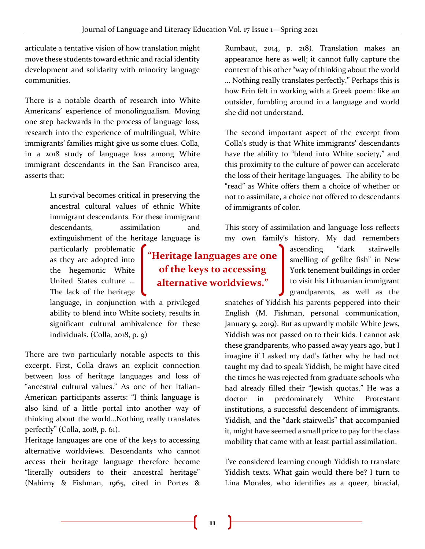articulate a tentative vision of how translation might move these students toward ethnic and racial identity development and solidarity with minority language communities.

There is a notable dearth of research into White Americans' experience of monolingualism. Moving one step backwards in the process of language loss, research into the experience of multilingual, White immigrants' families might give us some clues. Colla, in a 2018 study of language loss among White immigrant descendants in the San Francisco area, asserts that:

> L1 survival becomes critical in preserving the ancestral cultural values of ethnic White immigrant descendants. For these immigrant descendants. assimilation and extinguishment of the heritage language is

particularly problematic as they are adopted into the hegemonic White United States culture … The lack of the heritage

language, in conjunction with a privileged ability to blend into White society, results in significant cultural ambivalence for these individuals. (Colla, 2018, p. 9)

There are two particularly notable aspects to this excerpt. First, Colla draws an explicit connection between loss of heritage languages and loss of "ancestral cultural values." As one of her Italian-American participants asserts: "I think language is also kind of a little portal into another way of thinking about the world…Nothing really translates perfectly" (Colla, 2018, p. 61).

Heritage languages are one of the keys to accessing alternative worldviews. Descendants who cannot access their heritage language therefore become "literally outsiders to their ancestral heritage" (Nahirny & Fishman, 1965, cited in Portes & Rumbaut, 2014, p. 218). Translation makes an appearance here as well; it cannot fully capture the context of this other "way of thinking about the world … Nothing really translates perfectly." Perhaps this is how Erin felt in working with a Greek poem: like an outsider, fumbling around in a language and world she did not understand.

The second important aspect of the excerpt from Colla's study is that White immigrants' descendants have the ability to "blend into White society," and this proximity to the culture of power can accelerate the loss of their heritage languages. The ability to be "read" as White offers them a choice of whether or not to assimilate, a choice not offered to descendants of immigrants of color.

This story of assimilation and language loss reflects my own family's history. My dad remembers

> ascending "dark stairwells smelling of gefilte fish" in New York tenement buildings in order to visit his Lithuanian immigrant grandparents, as well as the

snatches of Yiddish his parents peppered into their English (M. Fishman, personal communication, January 9, 2019). But as upwardly mobile White Jews, Yiddish was not passed on to their kids. I cannot ask these grandparents, who passed away years ago, but I imagine if I asked my dad's father why he had not taught my dad to speak Yiddish, he might have cited the times he was rejected from graduate schools who had already filled their "Jewish quotas." He was a doctor in predominately White Protestant institutions, a successful descendent of immigrants. Yiddish, and the "dark stairwells" that accompanied it, might have seemed a small price to pay for the class mobility that came with at least partial assimilation.

I've considered learning enough Yiddish to translate Yiddish texts. What gain would there be? I turn to Lina Morales, who identifies as a queer, biracial,

**"Heritage languages are one of the keys to accessing alternative worldviews."**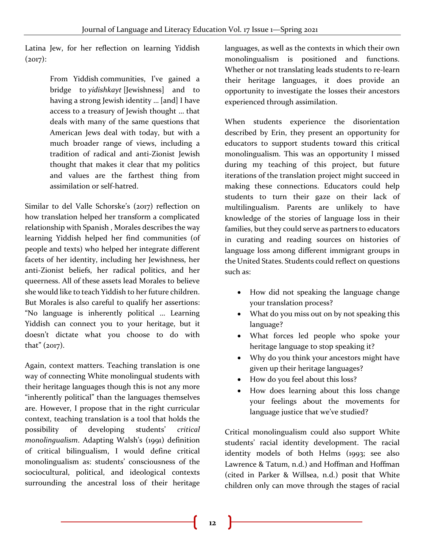Latina Jew, for her reflection on learning Yiddish  $(2017)$ :

> From Yiddish communities, I've gained a bridge to *yidishkayt* [Jewishness] and to having a strong Jewish identity … [and] I have access to a treasury of Jewish thought … that deals with many of the same questions that American Jews deal with today, but with a much broader range of views, including a tradition of radical and anti-Zionist Jewish thought that makes it clear that my politics and values are the farthest thing from assimilation or self-hatred.

Similar to del Valle Schorske's (2017) reflection on how translation helped her transform a complicated relationship with Spanish , Morales describes the way learning Yiddish helped her find communities (of people and texts) who helped her integrate different facets of her identity, including her Jewishness, her anti-Zionist beliefs, her radical politics, and her queerness. All of these assets lead Morales to believe she would like to teach Yiddish to her future children. But Morales is also careful to qualify her assertions: "No language is inherently political … Learning Yiddish can connect you to your heritage, but it doesn't dictate what you choose to do with that" (2017).

Again, context matters. Teaching translation is one way of connecting White monolingual students with their heritage languages though this is not any more "inherently political" than the languages themselves are. However, I propose that in the right curricular context, teaching translation is a tool that holds the possibility of developing students' *critical monolingualism*. Adapting Walsh's (1991) definition of critical bilingualism, I would define critical monolingualism as: students' consciousness of the sociocultural, political, and ideological contexts surrounding the ancestral loss of their heritage

languages, as well as the contexts in which their own monolingualism is positioned and functions. Whether or not translating leads students to re-learn their heritage languages, it does provide an opportunity to investigate the losses their ancestors experienced through assimilation.

When students experience the disorientation described by Erin, they present an opportunity for educators to support students toward this critical monolingualism. This was an opportunity I missed during my teaching of this project, but future iterations of the translation project might succeed in making these connections. Educators could help students to turn their gaze on their lack of multilingualism. Parents are unlikely to have knowledge of the stories of language loss in their families, but they could serve as partners to educators in curating and reading sources on histories of language loss among different immigrant groups in the United States. Students could reflect on questions such as:

- How did not speaking the language change your translation process?
- What do you miss out on by not speaking this language?
- What forces led people who spoke your heritage language to stop speaking it?
- Why do you think your ancestors might have given up their heritage languages?
- How do you feel about this loss?
- How does learning about this loss change your feelings about the movements for language justice that we've studied?

Critical monolingualism could also support White students' racial identity development. The racial identity models of both Helms (1993; see also Lawrence & Tatum, n.d.) and Hoffman and Hoffman (cited in Parker & Willsea, n.d.) posit that White children only can move through the stages of racial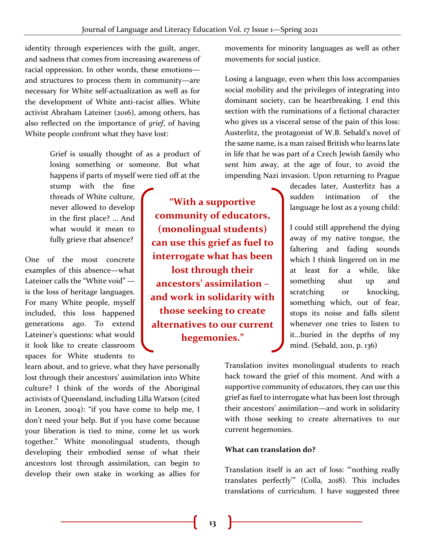identity through experiences with the guilt, anger, and sadness that comes from increasing awareness of racial oppression. In other words, these emotions and structures to process them in community—are necessary for White self-actualization as well as for the development of White anti-racist allies. White activist Abraham Lateiner (2016), among others, has also reflected on the importance of *grief*, of having White people confront what they have lost:

> Grief is usually thought of as a product of losing something or someone. But what happens if parts of myself were tied off at the

stump with the fine threads of White culture, never allowed to develop in the first place? … And what would it mean to fully grieve that absence?

One of the most concrete examples of this absence—what Lateiner calls the "White void" is the loss of heritage languages. For many White people, myself included, this loss happened generations ago. To extend Lateiner's questions: what would it look like to create classroom spaces for White students to

learn about, and to grieve, what they have personally lost through their ancestors' assimilation into White culture? I think of the words of the Aboriginal activists of Queensland, including Lilla Watson (cited in Leonen, 2004): "if you have come to help me, I don't need your help. But if you have come because your liberation is tied to mine, come let us work together." White monolingual students, though developing their embodied sense of what their ancestors lost through assimilation, can begin to develop their own stake in working as allies for

**"With a supportive community of educators, (monolingual students) can use this grief as fuel to interrogate what has been lost through their ancestors' assimilation – and work in solidarity with those seeking to create alternatives to our current hegemonies."**

movements for minority languages as well as other movements for social justice.

Losing a language, even when this loss accompanies social mobility and the privileges of integrating into dominant society, can be heartbreaking. I end this section with the ruminations of a fictional character who gives us a visceral sense of the pain of this loss: Austerlitz, the protagonist of W.B. Sebald's novel of the same name, is a man raised British who learns late in life that he was part of a Czech Jewish family who sent him away, at the age of four, to avoid the impending Nazi invasion. Upon returning to Prague

> decades later, Austerlitz has a sudden intimation of the language he lost as a young child:

> I could still apprehend the dying away of my native tongue, the faltering and fading sounds which I think lingered on in me at least for a while, like something shut up and scratching or knocking, something which, out of fear, stops its noise and falls silent whenever one tries to listen to it…buried in the depths of my mind. (Sebald, 2011, p. 136)

Translation invites monolingual students to reach back toward the grief of this moment. And with a supportive community of educators, they can use this grief as fuel to interrogate what has been lost through their ancestors' assimilation—and work in solidarity with those seeking to create alternatives to our current hegemonies.

# **What can translation do?**

Translation itself is an act of loss: "'nothing really translates perfectly'" (Colla, 2018). This includes translations of curriculum. I have suggested three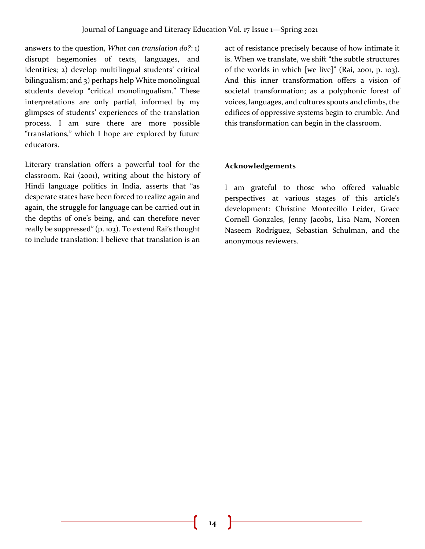answers to the question, *What can translation do?*: 1) disrupt hegemonies of texts, languages, and identities; 2) develop multilingual students' critical bilingualism; and 3) perhaps help White monolingual students develop "critical monolingualism." These interpretations are only partial, informed by my glimpses of students' experiences of the translation process. I am sure there are more possible "translations," which I hope are explored by future educators.

Literary translation offers a powerful tool for the classroom. Rai (2001), writing about the history of Hindi language politics in India, asserts that "as desperate states have been forced to realize again and again, the struggle for language can be carried out in the depths of one's being, and can therefore never really be suppressed" (p. 103). To extend Rai's thought to include translation: I believe that translation is an act of resistance precisely because of how intimate it is. When we translate, we shift "the subtle structures of the worlds in which [we live]" (Rai, 2001, p. 103). And this inner transformation offers a vision of societal transformation; as a polyphonic forest of voices, languages, and cultures spouts and climbs, the edifices of oppressive systems begin to crumble. And this transformation can begin in the classroom.

# **Acknowledgements**

I am grateful to those who offered valuable perspectives at various stages of this article's development: Christine Montecillo Leider, Grace Cornell Gonzales, Jenny Jacobs, Lisa Nam, Noreen Naseem Rodríguez, Sebastian Schulman, and the anonymous reviewers.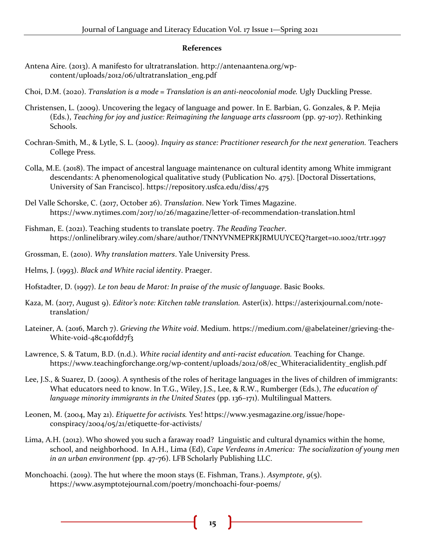#### **References**

- Antena Aire. (2013). A manifesto for ultratranslation. http://antenaantena.org/wpcontent/uploads/2012/06/ultratranslation\_eng.pdf
- Choi, D.M. (2020). *Translation is a mode = Translation is an anti-neocolonial mode.* Ugly Duckling Presse.
- Christensen, L. (2009). Uncovering the legacy of language and power. In E. Barbian, G. Gonzales, & P. Mejia (Eds.), *Teaching for joy and justice: Reimagining the language arts classroom* (pp. 97-107). Rethinking Schools.
- Cochran-Smith, M., & Lytle, S. L. (2009). *Inquiry as stance: Practitioner research for the next generation.* Teachers College Press.
- Colla, M.E. (2018). The impact of ancestral language maintenance on cultural identity among White immigrant descendants: A phenomenological qualitative study (Publication No. 475). [Doctoral Dissertations, University of San Francisco]. https://repository.usfca.edu/diss/475
- Del Valle Schorske, C. (2017, October 26). *Translation*. New York Times Magazine. https://www.nytimes.com/2017/10/26/magazine/letter-of-recommendation-translation.html
- Fishman, E. (2021). Teaching students to translate poetry. *The Reading Teacher*. https://onlinelibrary.wiley.com/share/author/TNNYVNMEPRKJRMUUYCEQ?target=10.1002/trtr.1997
- Grossman, E. (2010). *Why translation matters*. Yale University Press.
- Helms, J. (1993). *Black and White racial identity*. Praeger.
- Hofstadter, D. (1997). *Le ton beau de Marot: In praise of the music of language*. Basic Books.
- Kaza, M. (2017, August 9). *Editor's note: Kitchen table translation.* Aster(ix). https://asterixjournal.com/notetranslation/
- Lateiner, A. (2016, March 7). *Grieving the White void*. Medium. https://medium.com/@abelateiner/grieving-the-White-void-48c410fdd7f3
- Lawrence, S. & Tatum, B.D. (n.d.). *White racial identity and anti-racist education.* Teaching for Change. https://www.teachingforchange.org/wp-content/uploads/2012/08/ec\_Whiteracialidentity\_english.pdf
- Lee, J.S., & Suarez, D. (2009). A synthesis of the roles of heritage languages in the lives of children of immigrants: What educators need to know. In T.G., Wiley, J.S., Lee, & R.W., Rumberger (Eds.), *The education of language minority immigrants in the United States* (pp. 136–171). Multilingual Matters.
- Leonen, M. (2004, May 21). *Etiquette for activists.* Yes! https://www.yesmagazine.org/issue/hopeconspiracy/2004/05/21/etiquette-for-activists/
- Lima, A.H. (2012). Who showed you such a faraway road? Linguistic and cultural dynamics within the home, school, and neighborhood. In A.H., Lima (Ed), *Cape Verdeans in America: The socialization of young men in an urban environment* (pp. 47-76). LFB Scholarly Publishing LLC.
- Monchoachi. (2019). The hut where the moon stays (E. Fishman, Trans.). *Asymptote*, *9*(5). https://www.asymptotejournal.com/poetry/monchoachi-four-poems/